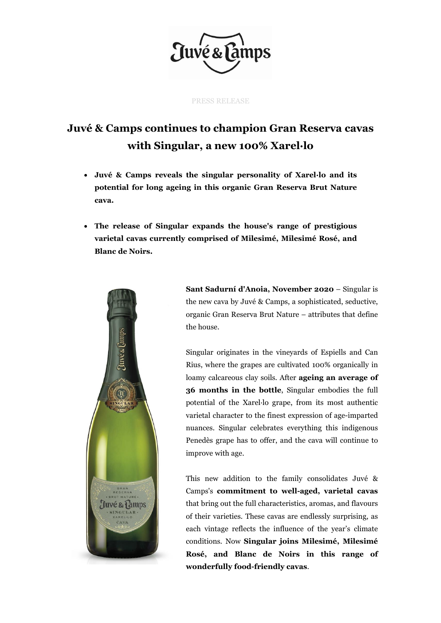

PRESS RELEASE

## **Juvé & Camps continues to champion Gran Reserva cavas with Singular, a new 100% Xarel·lo**

- **Juvé & Camps reveals the singular personality of Xarel·lo and its potential for long ageing in this organic Gran Reserva Brut Nature cava.**
- **The release of Singular expands the house's range of prestigious varietal cavas currently comprised of Milesimé, Milesimé Rosé, and Blanc de Noirs.**



**Sant Sadurní d'Anoia, November 2020** – Singular is the new cava by Juvé & Camps, a sophisticated, seductive, organic Gran Reserva Brut Nature – attributes that define the house.

Singular originates in the vineyards of Espiells and Can Rius, where the grapes are cultivated 100% organically in loamy calcareous clay soils. After **ageing an average of 36 months in the bottle**, Singular embodies the full potential of the Xarel·lo grape, from its most authentic varietal character to the finest expression of age-imparted nuances. Singular celebrates everything this indigenous Penedès grape has to offer, and the cava will continue to improve with age.

This new addition to the family consolidates Juvé & Camps's **commitment to well-aged, varietal cavas** that bring out the full characteristics, aromas, and flavours of their varieties. These cavas are endlessly surprising, as each vintage reflects the influence of the year's climate conditions. Now **Singular joins Milesimé, Milesimé Rosé, and Blanc de Noirs in this range of wonderfully food-friendly cavas**.